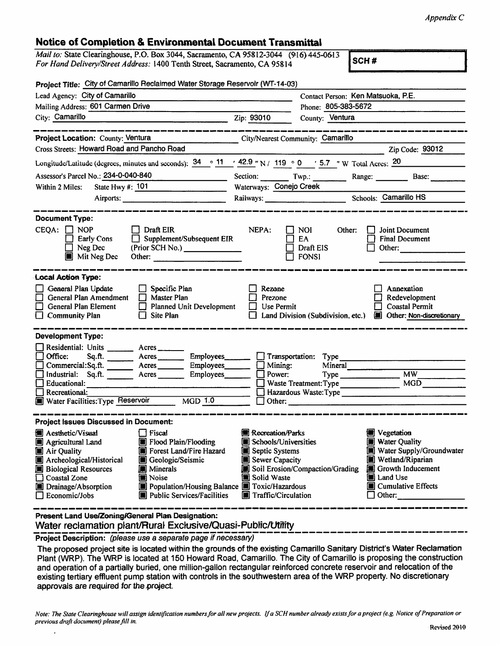## Notice of Completion & Environmental Document Transmittal

| Mail to: State Clearinghouse, P.O. Box 3044, Sacramento, CA 95812-3044 (916) 445-0613 | $\mathsf{SCH}$ # |
|---------------------------------------------------------------------------------------|------------------|
| For Hand Delivery/Street Address: 1400 Tenth Street, Sacramento, CA 95814             |                  |

| Project Title: City of Camarillo Reclaimed Water Storage Reservoir (WT-14-03)                                                                                                                                                                                                                                                                                                                                               |                                                                                                                           |                                                                         |                                                                                                                                                                              |  |
|-----------------------------------------------------------------------------------------------------------------------------------------------------------------------------------------------------------------------------------------------------------------------------------------------------------------------------------------------------------------------------------------------------------------------------|---------------------------------------------------------------------------------------------------------------------------|-------------------------------------------------------------------------|------------------------------------------------------------------------------------------------------------------------------------------------------------------------------|--|
| Lead Agency: City of Camarillo                                                                                                                                                                                                                                                                                                                                                                                              |                                                                                                                           |                                                                         | Contact Person: Ken Matsuoka, P.E.                                                                                                                                           |  |
| Mailing Address: 601 Carmen Drive                                                                                                                                                                                                                                                                                                                                                                                           | Phone: 805-383-5672                                                                                                       |                                                                         |                                                                                                                                                                              |  |
| City: Camarillo<br><u> 1980 - John Stone, Amerikaansk politiker (</u> † 1910)                                                                                                                                                                                                                                                                                                                                               | Zip: 93010                                                                                                                | County: Ventura                                                         |                                                                                                                                                                              |  |
|                                                                                                                                                                                                                                                                                                                                                                                                                             |                                                                                                                           |                                                                         |                                                                                                                                                                              |  |
| Project Location: County: Ventura<br>City/Nearest Community: Camarillo                                                                                                                                                                                                                                                                                                                                                      |                                                                                                                           |                                                                         |                                                                                                                                                                              |  |
| Cross Streets: Howard Road and Pancho Road                                                                                                                                                                                                                                                                                                                                                                                  |                                                                                                                           |                                                                         | Zip Code: 93012                                                                                                                                                              |  |
| Longitude/Latitude (degrees, minutes and seconds): $\frac{34}{11}$ $\frac{42.9}{11}$ N / 119 $\degree$ 0 $\degree$ 5.7 " W Total Acres: $\frac{20}{11}$                                                                                                                                                                                                                                                                     |                                                                                                                           |                                                                         |                                                                                                                                                                              |  |
| Assessor's Parcel No.: 234-0-040-840<br><b>Contract Contract Contract</b>                                                                                                                                                                                                                                                                                                                                                   |                                                                                                                           | Section: Twp.: Twp.: Range: Base: Base:                                 |                                                                                                                                                                              |  |
| State Hwy #: 101<br>Within 2 Miles:                                                                                                                                                                                                                                                                                                                                                                                         | Waterways: Conejo Creek                                                                                                   |                                                                         |                                                                                                                                                                              |  |
| Airports:                                                                                                                                                                                                                                                                                                                                                                                                                   |                                                                                                                           | Railways: Camarillo HS                                                  |                                                                                                                                                                              |  |
| <b>Document Type:</b><br>$\Box$ Draft EIR<br>$CEQA: \Box NOP$<br>$\Box$ Supplement/Subsequent EIR<br><b>Early Cons</b><br>Neg Dec<br>(Prior SCH No.) ______________<br><b>Mit Neg Dec</b><br>Other: and the contract of the contract of the contract of the contract of the contract of the contract of the contract of the contract of the contract of the contract of the contract of the contract of the contract of the | NEPA:                                                                                                                     | NOI.<br>Other:<br>EA<br>Draft EIS<br>$\overline{ }$ FONSI               | Joint Document<br><b>Final Document</b><br>Other:                                                                                                                            |  |
| <b>Local Action Type:</b><br>General Plan Update<br>$\Box$ Specific Plan<br>$\Box$ General Plan Amendment<br>$\Box$ Master Plan<br>П.<br><b>General Plan Element</b><br>Planned Unit Development<br>Site Plan<br>$\Box$ Community Plan                                                                                                                                                                                      | Rezone<br>Prezone<br>LΙ<br>Use Permit                                                                                     | Land Division (Subdivision, etc.)                                       | Annexation<br>Redevelopment<br><b>Coastal Permit</b><br>Other: Non-discretionary                                                                                             |  |
| <b>Development Type:</b>                                                                                                                                                                                                                                                                                                                                                                                                    |                                                                                                                           |                                                                         |                                                                                                                                                                              |  |
| Residential: Units ________ Acres ______<br>$\Box$ Office:<br>Employees<br>$Arcres$ <sub>__________</sub><br>Sq.A.<br>Commercial:Sq.ft. Acres Employees<br>Industrial: Sq.ft. Acres<br>Employees_______<br><b>Educational:</b><br>Recreational:<br>□<br>Water Facilities: Type Reservoir MGD 1.0                                                                                                                            | $\Box$ Mining:<br>$\Box$ Power:                                                                                           | Transportation: Type<br>Mineral<br>$Type$ $MW$<br>Hazardous Waste: Type | MGD                                                                                                                                                                          |  |
| <b>Project Issues Discussed in Document:</b>                                                                                                                                                                                                                                                                                                                                                                                |                                                                                                                           |                                                                         |                                                                                                                                                                              |  |
| $\Box$ Fiscal<br>圖 Aesthetic/Visual<br>Flood Plain/Flooding<br>Agricultural Land<br>Forest Land/Fire Hazard<br>Air Quality<br>Archeological/Historical<br>Geologic/Seismic<br><b>B</b> Biological Resources<br><b>IN</b> Minerals<br>Coastal Zone<br>Noise<br>Population/Housing Balance Toxic/Hazardous<br>Drainage/Absorption<br>Public Services/Facilities<br>$\Box$ Economic/Jobs                                       | <b>Recreation/Parks</b><br>Schools/Universities<br>Septic Systems<br>Sewer Capacity<br>Solid Waste<br>Traffic/Circulation | Soil Erosion/Compaction/Grading                                         | <b>S</b> Vegetation<br><b>Water Quality</b><br>Water Supply/Groundwater<br>Wetland/Riparian<br>Growth Inducement<br>Land Use<br><b>■</b> Cumulative Effects<br>$\Box$ Other: |  |
| Present Land Use/Zoning/General Plan Designation:                                                                                                                                                                                                                                                                                                                                                                           |                                                                                                                           |                                                                         |                                                                                                                                                                              |  |

Present Land Use/ZoningiGenerai Plan Designation:

Water reclamation piant/Rurai Exckjsive/Quasi-Pubitc/Utrifty Project Description: (please use aseparate page if necessary)

The proposed project site is located within the grounds of the existing Camarillo Sanitary District's Water Reclamation Plant (WRP). The WRP is located at 150 Howard Road, Camarillo. The City of Camarillo is proposing the construction and operation of a partially buried, one million-gallon rectangular reinforced concrete reservoir and relocation of the existing tertiary effluent pump station with controls in the southwestern area of the WRP property. No discretionary approvals are required for the project.

Note: The State Clearinghouse will assign identification numbers for all new projects. If a SCH number already exists for a project (e.g. Notice of Preparation or previous draft document) please fill in.